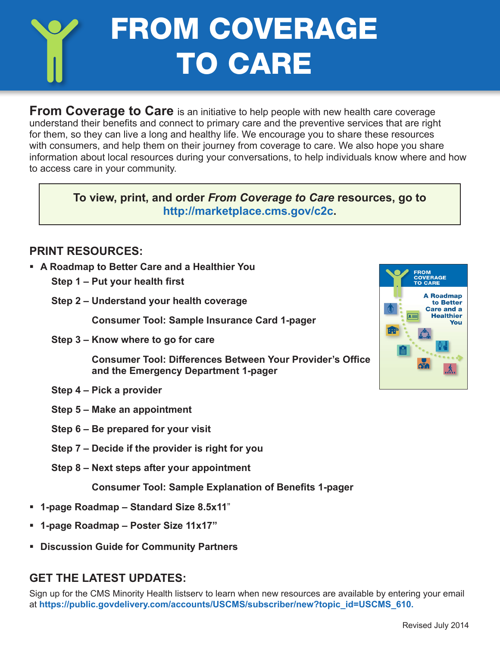# FROM COVERAGE TO CARE

**From Coverage to Care** is an initiative to help people with new health care coverage understand their benefits and connect to primary care and the preventive services that are right for them, so they can live a long and healthy life. We encourage you to share these resources with consumers, and help them on their journey from coverage to care. We also hope you share information about local resources during your conversations, to help individuals know where and how to access care in your community.

**To view, print, and order** *From Coverage to Care* **resources, go to <http://marketplace.cms.gov/c2c>.**

#### **PRINT RESOURCES:**

- § **A Roadmap to Better Care and a Healthier You**
	- **Step 1 Put your health first**
	- **Step 2 Understand your health coverage**

**Consumer Tool: Sample Insurance Card 1-pager**

**Step 3 – Know where to go for care**

**Consumer Tool: Differences Between Your Provider's Office and the Emergency Department 1-pager**

- **Step 4 Pick a provider**
- **Step 5 Make an appointment**
- **Step 6 Be prepared for your visit**
- **Step 7 Decide if the provider is right for you**
- **Step 8 Next steps after your appointment**

**Consumer Tool: Sample Explanation of Benefits 1-pager**

- § **1-page Roadmap Standard Size 8.5x11**"
- § **1-page Roadmap Poster Size 11x17"**
- § **Discussion Guide for Community Partners**

#### **GET THE LATEST UPDATES:**

Sign up for the CMS Minority Health listserv to learn when new resources are available by entering your email at **[https://public.govdelivery.com/accounts/USCMS/subscriber/new?topic\\_id=USCMS\\_610.](https://public.govdelivery.com/accounts/USCMS/subscriber/new?topic_id=USCMS_610)**